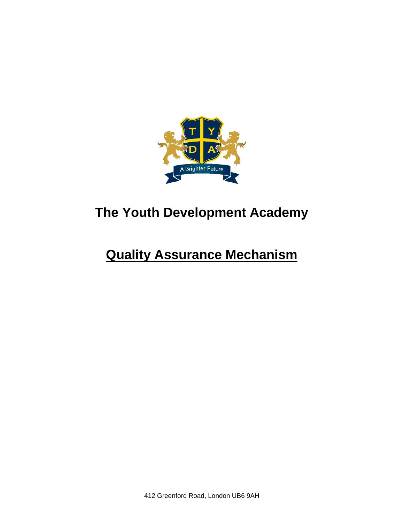

# **The Youth Development Academy**

## **Quality Assurance Mechanism**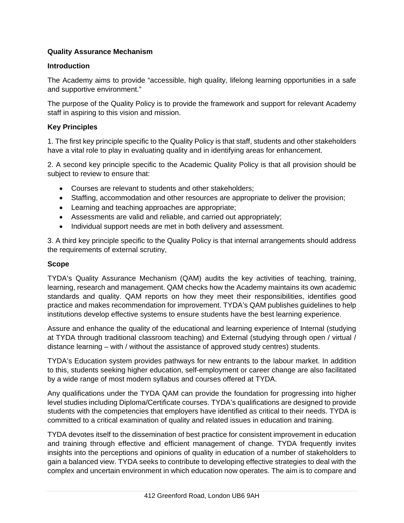### **Quality Assurance Mechanism**

#### **Introduction**

The Academy aims to provide "accessible, high quality, lifelong learning opportunities in a safe and supportive environment."

The purpose of the Quality Policy is to provide the framework and support for relevant Academy staff in aspiring to this vision and mission.

#### **Key Principles**

1. The first key principle specific to the Quality Policy is that staff, students and other stakeholders have a vital role to play in evaluating quality and in identifying areas for enhancement.

2. A second key principle specific to the Academic Quality Policy is that all provision should be subject to review to ensure that:

- Courses are relevant to students and other stakeholders;
- Staffing, accommodation and other resources are appropriate to deliver the provision;
- Learning and teaching approaches are appropriate;
- Assessments are valid and reliable, and carried out appropriately;
- Individual support needs are met in both delivery and assessment.

3. A third key principle specific to the Quality Policy is that internal arrangements should address the requirements of external scrutiny,

#### **Scope**

TYDA's Quality Assurance Mechanism (QAM) audits the key activities of teaching, training, learning, research and management. QAM checks how the Academy maintains its own academic standards and quality. QAM reports on how they meet their responsibilities, identifies good practice and makes recommendation for improvement. TYDA's QAM publishes guidelines to help institutions develop effective systems to ensure students have the best learning experience.

Assure and enhance the quality of the educational and learning experience of Internal (studying at TYDA through traditional classroom teaching) and External (studying through open / virtual / distance learning – with / without the assistance of approved study centres) students.

TYDA's Education system provides pathways for new entrants to the labour market. In addition to this, students seeking higher education, self-employment or career change are also facilitated by a wide range of most modern syllabus and courses offered at TYDA.

Any qualifications under the TYDA QAM can provide the foundation for progressing into higher level studies including Diploma/Certificate courses. TYDA's qualifications are designed to provide students with the competencies that employers have identified as critical to their needs. TYDA is committed to a critical examination of quality and related issues in education and training.

TYDA devotes itself to the dissemination of best practice for consistent improvement in education and training through effective and efficient management of change. TYDA frequently invites insights into the perceptions and opinions of quality in education of a number of stakeholders to gain a balanced view. TYDA seeks to contribute to developing effective strategies to deal with the complex and uncertain environment in which education now operates. The aim is to compare and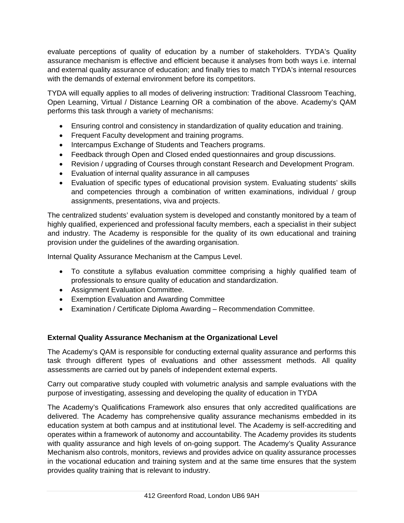evaluate perceptions of quality of education by a number of stakeholders. TYDA's Quality assurance mechanism is effective and efficient because it analyses from both ways i.e. internal and external quality assurance of education; and finally tries to match TYDA's internal resources with the demands of external environment before its competitors.

TYDA will equally applies to all modes of delivering instruction: Traditional Classroom Teaching, Open Learning, Virtual / Distance Learning OR a combination of the above. Academy's QAM performs this task through a variety of mechanisms:

- Ensuring control and consistency in standardization of quality education and training.
- Frequent Faculty development and training programs.
- Intercampus Exchange of Students and Teachers programs.
- Feedback through Open and Closed ended questionnaires and group discussions.
- Revision / upgrading of Courses through constant Research and Development Program.
- Evaluation of internal quality assurance in all campuses
- Evaluation of specific types of educational provision system. Evaluating students' skills and competencies through a combination of written examinations, individual / group assignments, presentations, viva and projects.

The centralized students' evaluation system is developed and constantly monitored by a team of highly qualified, experienced and professional faculty members, each a specialist in their subject and industry. The Academy is responsible for the quality of its own educational and training provision under the guidelines of the awarding organisation.

Internal Quality Assurance Mechanism at the Campus Level.

- To constitute a syllabus evaluation committee comprising a highly qualified team of professionals to ensure quality of education and standardization.
- Assignment Evaluation Committee.
- Exemption Evaluation and Awarding Committee
- Examination / Certificate Diploma Awarding Recommendation Committee.

## **External Quality Assurance Mechanism at the Organizational Level**

The Academy's QAM is responsible for conducting external quality assurance and performs this task through different types of evaluations and other assessment methods. All quality assessments are carried out by panels of independent external experts.

Carry out comparative study coupled with volumetric analysis and sample evaluations with the purpose of investigating, assessing and developing the quality of education in TYDA

The Academy's Qualifications Framework also ensures that only accredited qualifications are delivered. The Academy has comprehensive quality assurance mechanisms embedded in its education system at both campus and at institutional level. The Academy is self-accrediting and operates within a framework of autonomy and accountability. The Academy provides its students with quality assurance and high levels of on-going support. The Academy's Quality Assurance Mechanism also controls, monitors, reviews and provides advice on quality assurance processes in the vocational education and training system and at the same time ensures that the system provides quality training that is relevant to industry.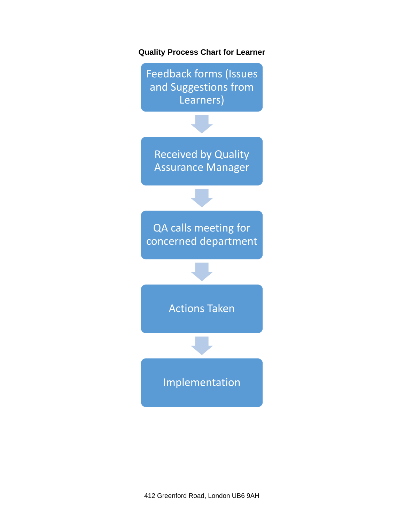